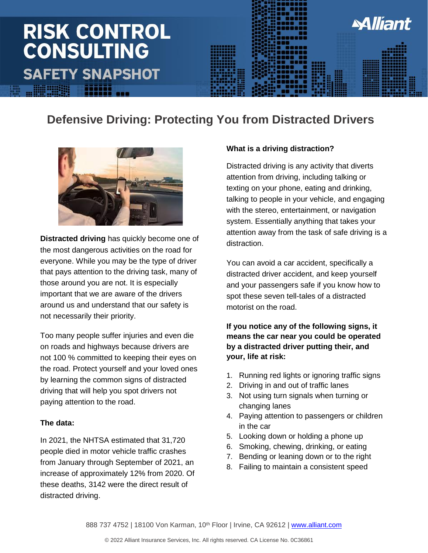## **RISK CONTROL CONSULTING SAFETY SNAPSHOT**



### **Defensive Driving: Protecting You from Distracted Drivers**



**Distracted driving** has quickly become one of the most dangerous activities on the road for everyone. While you may be the type of driver that pays attention to the driving task, many of those around you are not. It is especially important that we are aware of the drivers around us and understand that our safety is not necessarily their priority.

Too many people suffer injuries and even die on roads and highways because drivers are not 100 % committed to keeping their eyes on the road. Protect yourself and your loved ones by learning the common signs of distracted driving that will help you spot drivers not paying attention to the road.

#### **The data:**

In 2021, the NHTSA estimated that 31,720 people died in motor vehicle traffic crashes from January through September of 2021, an increase of approximately 12% from 2020. Of these deaths, 3142 were the direct result of distracted driving.

#### **What is a driving distraction?**

Distracted driving is any activity that diverts attention from driving, including talking or texting on your phone, eating and drinking, talking to people in your vehicle, and engaging with the stereo, entertainment, or navigation system. Essentially anything that takes your attention away from the task of safe driving is a distraction.

**Alliant** 

You can avoid a car accident, specifically a distracted driver accident, and keep yourself and your passengers safe if you know how to spot these seven tell-tales of a distracted motorist on the road.

#### **If you notice any of the following signs, it means the car near you could be operated by a distracted driver putting their, and your, life at risk:**

- 1. Running red lights or ignoring traffic signs
- 2. Driving in and out of traffic lanes
- 3. Not using turn signals when turning or changing lanes
- 4. Paying attention to passengers or children in the car
- 5. Looking down or holding a phone up
- 6. Smoking, chewing, drinking, or eating
- 7. Bending or leaning down or to the right
- 8. Failing to maintain a consistent speed